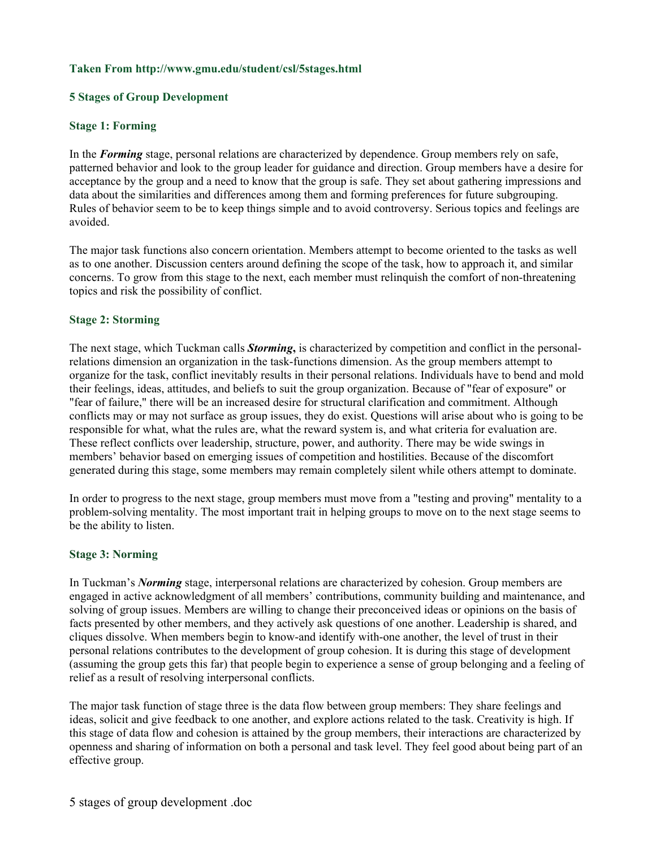# **Taken From http://www.gmu.edu/student/csl/5stages.html**

### **5 Stages of Group Development**

#### **Stage 1: Forming**

In the *Forming* stage, personal relations are characterized by dependence. Group members rely on safe, patterned behavior and look to the group leader for guidance and direction. Group members have a desire for acceptance by the group and a need to know that the group is safe. They set about gathering impressions and data about the similarities and differences among them and forming preferences for future subgrouping. Rules of behavior seem to be to keep things simple and to avoid controversy. Serious topics and feelings are avoided.

The major task functions also concern orientation. Members attempt to become oriented to the tasks as well as to one another. Discussion centers around defining the scope of the task, how to approach it, and similar concerns. To grow from this stage to the next, each member must relinquish the comfort of non-threatening topics and risk the possibility of conflict.

#### **Stage 2: Storming**

The next stage, which Tuckman calls *Storming***,** is characterized by competition and conflict in the personalrelations dimension an organization in the task-functions dimension. As the group members attempt to organize for the task, conflict inevitably results in their personal relations. Individuals have to bend and mold their feelings, ideas, attitudes, and beliefs to suit the group organization. Because of "fear of exposure" or "fear of failure," there will be an increased desire for structural clarification and commitment. Although conflicts may or may not surface as group issues, they do exist. Questions will arise about who is going to be responsible for what, what the rules are, what the reward system is, and what criteria for evaluation are. These reflect conflicts over leadership, structure, power, and authority. There may be wide swings in members' behavior based on emerging issues of competition and hostilities. Because of the discomfort generated during this stage, some members may remain completely silent while others attempt to dominate.

In order to progress to the next stage, group members must move from a "testing and proving" mentality to a problem-solving mentality. The most important trait in helping groups to move on to the next stage seems to be the ability to listen.

### **Stage 3: Norming**

In Tuckman's *Norming* stage, interpersonal relations are characterized by cohesion. Group members are engaged in active acknowledgment of all members' contributions, community building and maintenance, and solving of group issues. Members are willing to change their preconceived ideas or opinions on the basis of facts presented by other members, and they actively ask questions of one another. Leadership is shared, and cliques dissolve. When members begin to know-and identify with-one another, the level of trust in their personal relations contributes to the development of group cohesion. It is during this stage of development (assuming the group gets this far) that people begin to experience a sense of group belonging and a feeling of relief as a result of resolving interpersonal conflicts.

The major task function of stage three is the data flow between group members: They share feelings and ideas, solicit and give feedback to one another, and explore actions related to the task. Creativity is high. If this stage of data flow and cohesion is attained by the group members, their interactions are characterized by openness and sharing of information on both a personal and task level. They feel good about being part of an effective group.